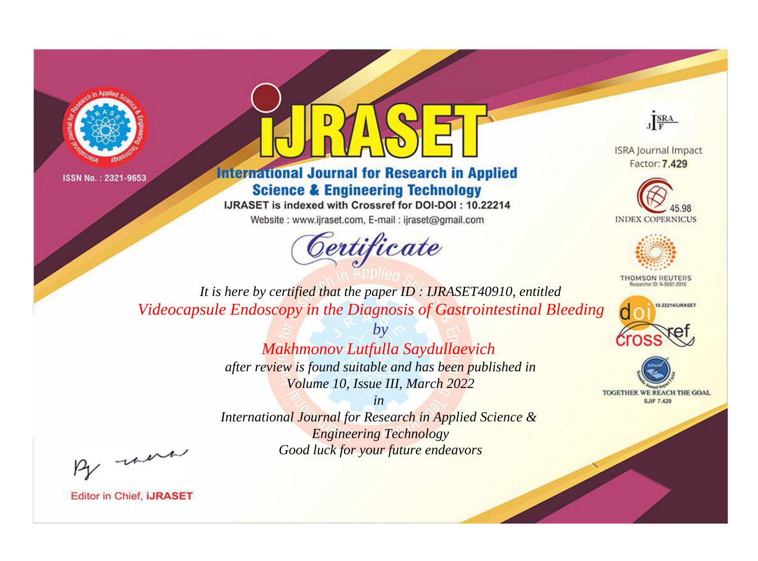



**International Journal for Research in Applied Science & Engineering Technology** 

IJRASET is indexed with Crossref for DOI-DOI: 10.22214

Website: www.ijraset.com, E-mail: ijraset@gmail.com



JERA

**ISRA Journal Impact** Factor: 7.429





**THOMSON REUTERS** 



TOGETHER WE REACH THE GOAL **SJIF 7.429** 

*It is here by certified that the paper ID : IJRASET40910, entitled Videocapsule Endoscopy in the Diagnosis of Gastrointestinal Bleeding*

> *by Makhmonov Lutfulla Saydullaevich*

*after review is found suitable and has been published in Volume 10, Issue III, March 2022*

*in* 

*International Journal for Research in Applied Science & Engineering Technology Good luck for your future endeavors*

By morn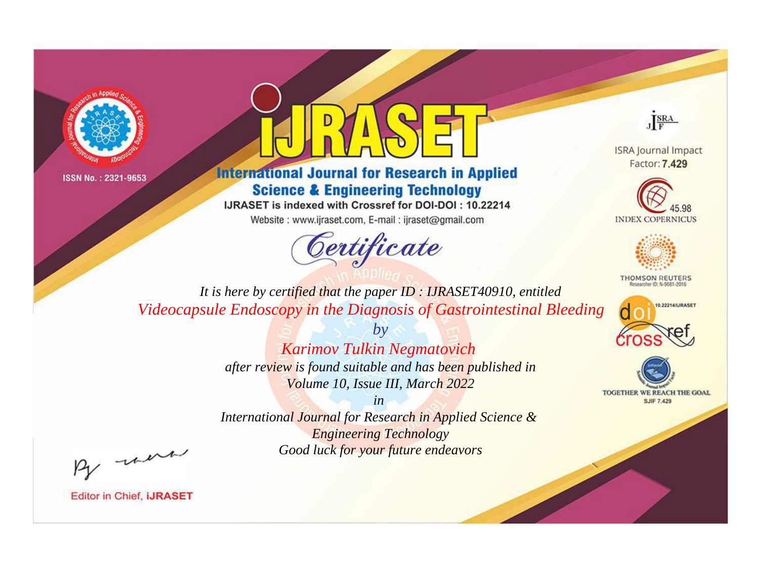



**International Journal for Research in Applied Science & Engineering Technology** 

IJRASET is indexed with Crossref for DOI-DOI: 10.22214

Website: www.ijraset.com, E-mail: ijraset@gmail.com



JERA

**ISRA Journal Impact** Factor: 7.429





**THOMSON REUTERS** 



TOGETHER WE REACH THE GOAL **SJIF 7.429** 

*It is here by certified that the paper ID : IJRASET40910, entitled Videocapsule Endoscopy in the Diagnosis of Gastrointestinal Bleeding*

> *by Karimov Tulkin Negmatovich*

*after review is found suitable and has been published in Volume 10, Issue III, March 2022*

*in* 

*International Journal for Research in Applied Science & Engineering Technology Good luck for your future endeavors*

By morn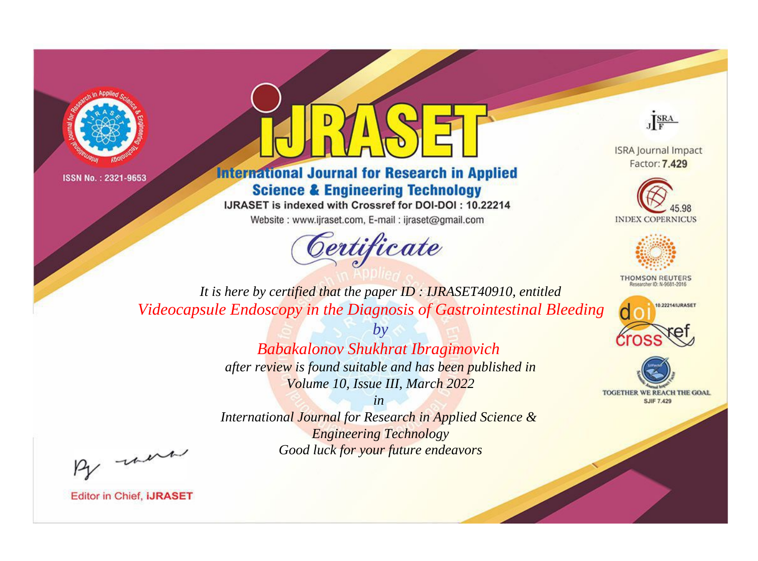



**International Journal for Research in Applied Science & Engineering Technology** 

IJRASET is indexed with Crossref for DOI-DOI: 10.22214

Website: www.ijraset.com, E-mail: ijraset@gmail.com



JERA

**ISRA Journal Impact** Factor: 7.429





**THOMSON REUTERS** 



TOGETHER WE REACH THE GOAL **SJIF 7.429** 

*It is here by certified that the paper ID : IJRASET40910, entitled Videocapsule Endoscopy in the Diagnosis of Gastrointestinal Bleeding*

*by*

## *Babakalonov Shukhrat Ibragimovich*

*after review is found suitable and has been published in Volume 10, Issue III, March 2022*

*in* 

*International Journal for Research in Applied Science & Engineering Technology Good luck for your future endeavors*

By morn